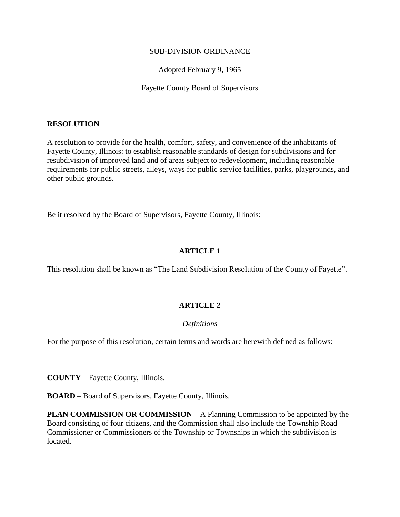## SUB-DIVISION ORDINANCE

Adopted February 9, 1965

Fayette County Board of Supervisors

## **RESOLUTION**

A resolution to provide for the health, comfort, safety, and convenience of the inhabitants of Fayette County, Illinois: to establish reasonable standards of design for subdivisions and for resubdivision of improved land and of areas subject to redevelopment, including reasonable requirements for public streets, alleys, ways for public service facilities, parks, playgrounds, and other public grounds.

Be it resolved by the Board of Supervisors, Fayette County, Illinois:

# **ARTICLE 1**

This resolution shall be known as "The Land Subdivision Resolution of the County of Fayette".

# **ARTICLE 2**

# *Definitions*

For the purpose of this resolution, certain terms and words are herewith defined as follows:

**COUNTY** – Fayette County, Illinois.

**BOARD** – Board of Supervisors, Fayette County, Illinois.

**PLAN COMMISSION OR COMMISSION** – A Planning Commission to be appointed by the Board consisting of four citizens, and the Commission shall also include the Township Road Commissioner or Commissioners of the Township or Townships in which the subdivision is located.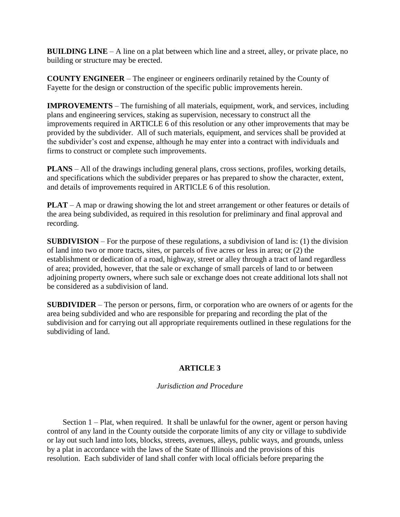**BUILDING LINE** – A line on a plat between which line and a street, alley, or private place, no building or structure may be erected.

**COUNTY ENGINEER** – The engineer or engineers ordinarily retained by the County of Fayette for the design or construction of the specific public improvements herein.

**IMPROVEMENTS** – The furnishing of all materials, equipment, work, and services, including plans and engineering services, staking as supervision, necessary to construct all the improvements required in ARTICLE 6 of this resolution or any other improvements that may be provided by the subdivider. All of such materials, equipment, and services shall be provided at the subdivider's cost and expense, although he may enter into a contract with individuals and firms to construct or complete such improvements.

**PLANS** – All of the drawings including general plans, cross sections, profiles, working details, and specifications which the subdivider prepares or has prepared to show the character, extent, and details of improvements required in ARTICLE 6 of this resolution.

**PLAT** – A map or drawing showing the lot and street arrangement or other features or details of the area being subdivided, as required in this resolution for preliminary and final approval and recording.

**SUBDIVISION** – For the purpose of these regulations, a subdivision of land is: (1) the division of land into two or more tracts, sites, or parcels of five acres or less in area; or (2) the establishment or dedication of a road, highway, street or alley through a tract of land regardless of area; provided, however, that the sale or exchange of small parcels of land to or between adjoining property owners, where such sale or exchange does not create additional lots shall not be considered as a subdivision of land.

**SUBDIVIDER** – The person or persons, firm, or corporation who are owners of or agents for the area being subdivided and who are responsible for preparing and recording the plat of the subdivision and for carrying out all appropriate requirements outlined in these regulations for the subdividing of land.

# **ARTICLE 3**

# *Jurisdiction and Procedure*

Section 1 – Plat, when required. It shall be unlawful for the owner, agent or person having control of any land in the County outside the corporate limits of any city or village to subdivide or lay out such land into lots, blocks, streets, avenues, alleys, public ways, and grounds, unless by a plat in accordance with the laws of the State of Illinois and the provisions of this resolution. Each subdivider of land shall confer with local officials before preparing the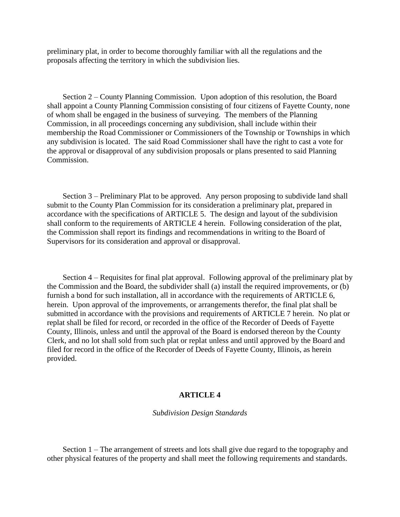preliminary plat, in order to become thoroughly familiar with all the regulations and the proposals affecting the territory in which the subdivision lies.

Section 2 – County Planning Commission. Upon adoption of this resolution, the Board shall appoint a County Planning Commission consisting of four citizens of Fayette County, none of whom shall be engaged in the business of surveying. The members of the Planning Commission, in all proceedings concerning any subdivision, shall include within their membership the Road Commissioner or Commissioners of the Township or Townships in which any subdivision is located. The said Road Commissioner shall have the right to cast a vote for the approval or disapproval of any subdivision proposals or plans presented to said Planning Commission.

Section 3 – Preliminary Plat to be approved. Any person proposing to subdivide land shall submit to the County Plan Commission for its consideration a preliminary plat, prepared in accordance with the specifications of ARTICLE 5. The design and layout of the subdivision shall conform to the requirements of ARTICLE 4 herein. Following consideration of the plat, the Commission shall report its findings and recommendations in writing to the Board of Supervisors for its consideration and approval or disapproval.

Section 4 – Requisites for final plat approval. Following approval of the preliminary plat by the Commission and the Board, the subdivider shall (a) install the required improvements, or (b) furnish a bond for such installation, all in accordance with the requirements of ARTICLE 6, herein. Upon approval of the improvements, or arrangements therefor, the final plat shall be submitted in accordance with the provisions and requirements of ARTICLE 7 herein. No plat or replat shall be filed for record, or recorded in the office of the Recorder of Deeds of Fayette County, Illinois, unless and until the approval of the Board is endorsed thereon by the County Clerk, and no lot shall sold from such plat or replat unless and until approved by the Board and filed for record in the office of the Recorder of Deeds of Fayette County, Illinois, as herein provided.

## **ARTICLE 4**

## *Subdivision Design Standards*

Section 1 – The arrangement of streets and lots shall give due regard to the topography and other physical features of the property and shall meet the following requirements and standards.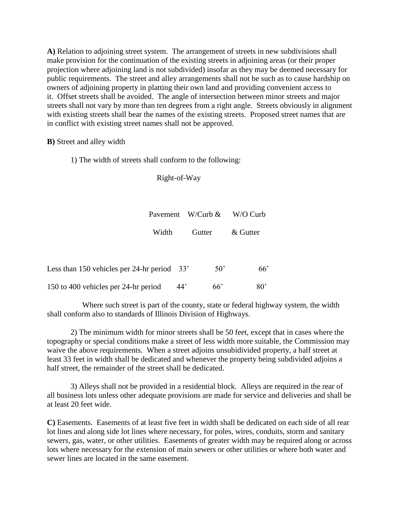**A)** Relation to adjoining street system. The arrangement of streets in new subdivisions shall make provision for the continuation of the existing streets in adjoining areas (or their proper projection where adjoining land is not subdivided) insofar as they may be deemed necessary for public requirements. The street and alley arrangements shall not be such as to cause hardship on owners of adjoining property in platting their own land and providing convenient access to it. Offset streets shall be avoided. The angle of intersection between minor streets and major streets shall not vary by more than ten degrees from a right angle. Streets obviously in alignment with existing streets shall bear the names of the existing streets. Proposed street names that are in conflict with existing street names shall not be approved.

**B)** Street and alley width

1) The width of streets shall conform to the following:

Right-of-Way

|       | Payement W/Curb $\&$ | W/O Curb |
|-------|----------------------|----------|
| Width | Gutter               | & Gutter |

| Less than 150 vehicles per 24-hr period $33'$ |     | .50° | 66 <sup>'</sup> |
|-----------------------------------------------|-----|------|-----------------|
| 150 to 400 vehicles per 24-hr period          | 44' | 66'  | $80^{\circ}$    |

Where such street is part of the county, state or federal highway system, the width shall conform also to standards of Illinois Division of Highways.

2) The minimum width for minor streets shall be 50 feet, except that in cases where the topography or special conditions make a street of less width more suitable, the Commission may waive the above requirements. When a street adjoins unsubidivided property, a half street at least 33 feet in width shall be dedicated and whenever the property being subdivided adjoins a half street, the remainder of the street shall be dedicated.

3) Alleys shall not be provided in a residential block. Alleys are required in the rear of all business lots unless other adequate provisions are made for service and deliveries and shall be at least 20 feet wide.

**C)** Easements. Easements of at least five feet in width shall be dedicated on each side of all rear lot lines and along side lot lines where necessary, for poles, wires, conduits, storm and sanitary sewers, gas, water, or other utilities. Easements of greater width may be required along or across lots where necessary for the extension of main sewers or other utilities or where both water and sewer lines are located in the same easement.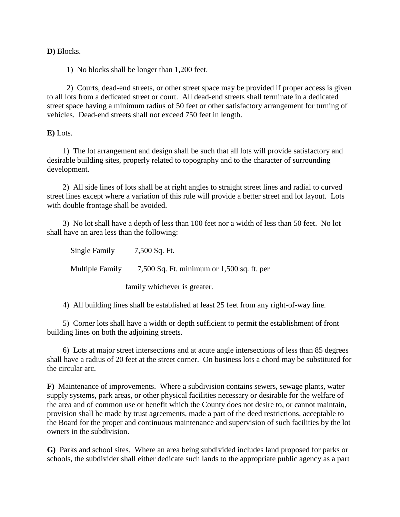## **D)** Blocks.

1) No blocks shall be longer than 1,200 feet.

2) Courts, dead-end streets, or other street space may be provided if proper access is given to all lots from a dedicated street or court. All dead-end streets shall terminate in a dedicated street space having a minimum radius of 50 feet or other satisfactory arrangement for turning of vehicles. Dead-end streets shall not exceed 750 feet in length.

## **E)** Lots.

1) The lot arrangement and design shall be such that all lots will provide satisfactory and desirable building sites, properly related to topography and to the character of surrounding development.

2) All side lines of lots shall be at right angles to straight street lines and radial to curved street lines except where a variation of this rule will provide a better street and lot layout. Lots with double frontage shall be avoided.

3) No lot shall have a depth of less than 100 feet nor a width of less than 50 feet. No lot shall have an area less than the following:

| Single Family                | 7,500 Sq. Ft.                                |  |
|------------------------------|----------------------------------------------|--|
| <b>Multiple Family</b>       | 7,500 Sq. Ft. minimum or $1,500$ sq. ft. per |  |
| family whichever is greater. |                                              |  |

4) All building lines shall be established at least 25 feet from any right-of-way line.

5) Corner lots shall have a width or depth sufficient to permit the establishment of front building lines on both the adjoining streets.

6) Lots at major street intersections and at acute angle intersections of less than 85 degrees shall have a radius of 20 feet at the street corner. On business lots a chord may be substituted for the circular arc.

**F)** Maintenance of improvements. Where a subdivision contains sewers, sewage plants, water supply systems, park areas, or other physical facilities necessary or desirable for the welfare of the area and of common use or benefit which the County does not desire to, or cannot maintain, provision shall be made by trust agreements, made a part of the deed restrictions, acceptable to the Board for the proper and continuous maintenance and supervision of such facilities by the lot owners in the subdivision.

**G)** Parks and school sites. Where an area being subdivided includes land proposed for parks or schools, the subdivider shall either dedicate such lands to the appropriate public agency as a part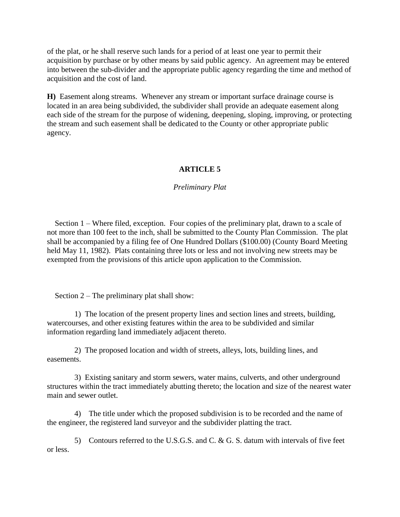of the plat, or he shall reserve such lands for a period of at least one year to permit their acquisition by purchase or by other means by said public agency. An agreement may be entered into between the sub-divider and the appropriate public agency regarding the time and method of acquisition and the cost of land.

**H)** Easement along streams. Whenever any stream or important surface drainage course is located in an area being subdivided, the subdivider shall provide an adequate easement along each side of the stream for the purpose of widening, deepening, sloping, improving, or protecting the stream and such easement shall be dedicated to the County or other appropriate public agency.

# **ARTICLE 5**

# *Preliminary Plat*

Section 1 – Where filed, exception. Four copies of the preliminary plat, drawn to a scale of not more than 100 feet to the inch, shall be submitted to the County Plan Commission. The plat shall be accompanied by a filing fee of One Hundred Dollars (\$100.00) (County Board Meeting held May 11, 1982). Plats containing three lots or less and not involving new streets may be exempted from the provisions of this article upon application to the Commission.

Section 2 – The preliminary plat shall show:

1) The location of the present property lines and section lines and streets, building, watercourses, and other existing features within the area to be subdivided and similar information regarding land immediately adjacent thereto.

2) The proposed location and width of streets, alleys, lots, building lines, and easements.

3) Existing sanitary and storm sewers, water mains, culverts, and other underground structures within the tract immediately abutting thereto; the location and size of the nearest water main and sewer outlet.

4) The title under which the proposed subdivision is to be recorded and the name of the engineer, the registered land surveyor and the subdivider platting the tract.

5) Contours referred to the U.S.G.S. and C. & G. S. datum with intervals of five feet or less.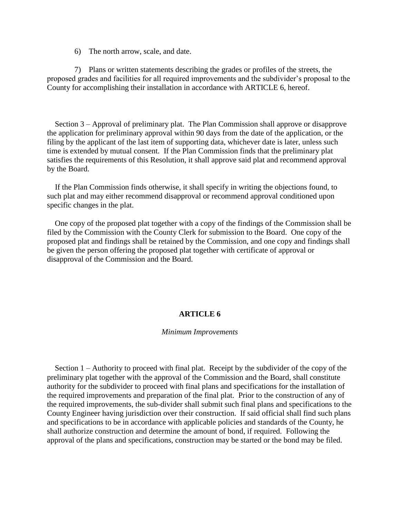6) The north arrow, scale, and date.

7) Plans or written statements describing the grades or profiles of the streets, the proposed grades and facilities for all required improvements and the subdivider's proposal to the County for accomplishing their installation in accordance with ARTICLE 6, hereof.

Section 3 – Approval of preliminary plat. The Plan Commission shall approve or disapprove the application for preliminary approval within 90 days from the date of the application, or the filing by the applicant of the last item of supporting data, whichever date is later, unless such time is extended by mutual consent. If the Plan Commission finds that the preliminary plat satisfies the requirements of this Resolution, it shall approve said plat and recommend approval by the Board.

If the Plan Commission finds otherwise, it shall specify in writing the objections found, to such plat and may either recommend disapproval or recommend approval conditioned upon specific changes in the plat.

One copy of the proposed plat together with a copy of the findings of the Commission shall be filed by the Commission with the County Clerk for submission to the Board. One copy of the proposed plat and findings shall be retained by the Commission, and one copy and findings shall be given the person offering the proposed plat together with certificate of approval or disapproval of the Commission and the Board.

### **ARTICLE 6**

#### *Minimum Improvements*

Section 1 – Authority to proceed with final plat. Receipt by the subdivider of the copy of the preliminary plat together with the approval of the Commission and the Board, shall constitute authority for the subdivider to proceed with final plans and specifications for the installation of the required improvements and preparation of the final plat. Prior to the construction of any of the required improvements, the sub-divider shall submit such final plans and specifications to the County Engineer having jurisdiction over their construction. If said official shall find such plans and specifications to be in accordance with applicable policies and standards of the County, he shall authorize construction and determine the amount of bond, if required. Following the approval of the plans and specifications, construction may be started or the bond may be filed.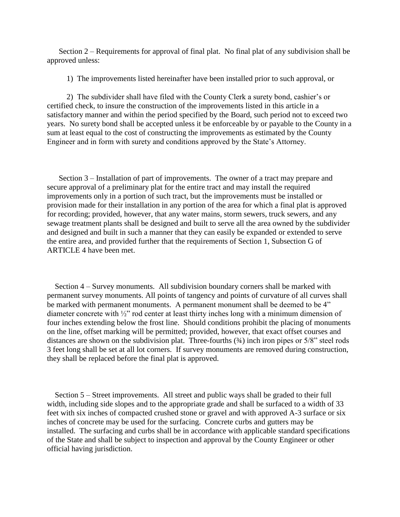Section 2 – Requirements for approval of final plat. No final plat of any subdivision shall be approved unless:

1) The improvements listed hereinafter have been installed prior to such approval, or

2) The subdivider shall have filed with the County Clerk a surety bond, cashier's or certified check, to insure the construction of the improvements listed in this article in a satisfactory manner and within the period specified by the Board, such period not to exceed two years. No surety bond shall be accepted unless it be enforceable by or payable to the County in a sum at least equal to the cost of constructing the improvements as estimated by the County Engineer and in form with surety and conditions approved by the State's Attorney.

Section 3 – Installation of part of improvements. The owner of a tract may prepare and secure approval of a preliminary plat for the entire tract and may install the required improvements only in a portion of such tract, but the improvements must be installed or provision made for their installation in any portion of the area for which a final plat is approved for recording; provided, however, that any water mains, storm sewers, truck sewers, and any sewage treatment plants shall be designed and built to serve all the area owned by the subdivider and designed and built in such a manner that they can easily be expanded or extended to serve the entire area, and provided further that the requirements of Section 1, Subsection G of ARTICLE 4 have been met.

Section 4 – Survey monuments. All subdivision boundary corners shall be marked with permanent survey monuments. All points of tangency and points of curvature of all curves shall be marked with permanent monuments. A permanent monument shall be deemed to be 4" diameter concrete with ½" rod center at least thirty inches long with a minimum dimension of four inches extending below the frost line. Should conditions prohibit the placing of monuments on the line, offset marking will be permitted; provided, however, that exact offset courses and distances are shown on the subdivision plat. Three-fourths (¾) inch iron pipes or 5/8" steel rods 3 feet long shall be set at all lot corners. If survey monuments are removed during construction, they shall be replaced before the final plat is approved.

Section 5 – Street improvements. All street and public ways shall be graded to their full width, including side slopes and to the appropriate grade and shall be surfaced to a width of 33 feet with six inches of compacted crushed stone or gravel and with approved A-3 surface or six inches of concrete may be used for the surfacing. Concrete curbs and gutters may be installed. The surfacing and curbs shall be in accordance with applicable standard specifications of the State and shall be subject to inspection and approval by the County Engineer or other official having jurisdiction.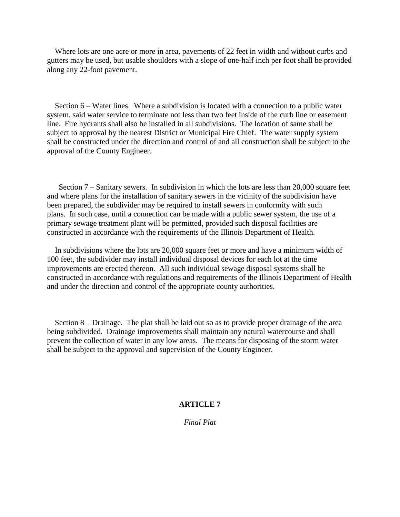Where lots are one acre or more in area, pavements of 22 feet in width and without curbs and gutters may be used, but usable shoulders with a slope of one-half inch per foot shall be provided along any 22-foot pavement.

Section 6 – Water lines. Where a subdivision is located with a connection to a public water system, said water service to terminate not less than two feet inside of the curb line or easement line. Fire hydrants shall also be installed in all subdivisions. The location of same shall be subject to approval by the nearest District or Municipal Fire Chief. The water supply system shall be constructed under the direction and control of and all construction shall be subject to the approval of the County Engineer.

Section 7 – Sanitary sewers. In subdivision in which the lots are less than 20,000 square feet and where plans for the installation of sanitary sewers in the vicinity of the subdivision have been prepared, the subdivider may be required to install sewers in conformity with such plans. In such case, until a connection can be made with a public sewer system, the use of a primary sewage treatment plant will be permitted, provided such disposal facilities are constructed in accordance with the requirements of the Illinois Department of Health.

In subdivisions where the lots are 20,000 square feet or more and have a minimum width of 100 feet, the subdivider may install individual disposal devices for each lot at the time improvements are erected thereon. All such individual sewage disposal systems shall be constructed in accordance with regulations and requirements of the Illinois Department of Health and under the direction and control of the appropriate county authorities.

Section 8 – Drainage. The plat shall be laid out so as to provide proper drainage of the area being subdivided. Drainage improvements shall maintain any natural watercourse and shall prevent the collection of water in any low areas. The means for disposing of the storm water shall be subject to the approval and supervision of the County Engineer.

## **ARTICLE 7**

*Final Plat*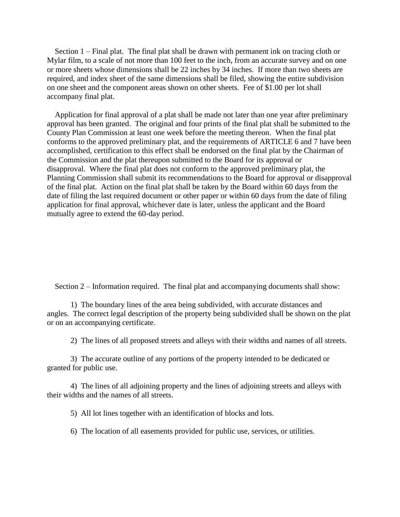Section 1 – Final plat. The final plat shall be drawn with permanent ink on tracing cloth or Mylar film, to a scale of not more than 100 feet to the inch, from an accurate survey and on one or more sheets whose dimensions shall be 22 inches by 34 inches. If more than two sheets are required, and index sheet of the same dimensions shall be filed, showing the entire subdivision on one sheet and the component areas shown on other sheets. Fee of \$1.00 per lot shall accompany final plat.

Application for final approval of a plat shall be made not later than one year after preliminary approval has been granted. The original and four prints of the final plat shall be submitted to the County Plan Commission at least one week before the meeting thereon. When the final plat conforms to the approved preliminary plat, and the requirements of ARTICLE 6 and 7 have been accomplished, certification to this effect shall be endorsed on the final plat by the Chairman of the Commission and the plat thereupon submitted to the Board for its approval or disapproval. Where the final plat does not conform to the approved preliminary plat, the Planning Commission shall submit its recommendations to the Board for approval or disapproval of the final plat. Action on the final plat shall be taken by the Board within 60 days from the date of filing the last required document or other paper or within 60 days from the date of filing application for final approval, whichever date is later, unless the applicant and the Board mutually agree to extend the 60-day period.

Section 2 – Information required. The final plat and accompanying documents shall show:

1) The boundary lines of the area being subdivided, with accurate distances and angles. The correct legal description of the property being subdivided shall be shown on the plat or on an accompanying certificate.

2) The lines of all proposed streets and alleys with their widths and names of all streets.

3) The accurate outline of any portions of the property intended to be dedicated or granted for public use.

4) The lines of all adjoining property and the lines of adjoining streets and alleys with their widths and the names of all streets.

5) All lot lines together with an identification of blocks and lots.

6) The location of all easements provided for public use, services, or utilities.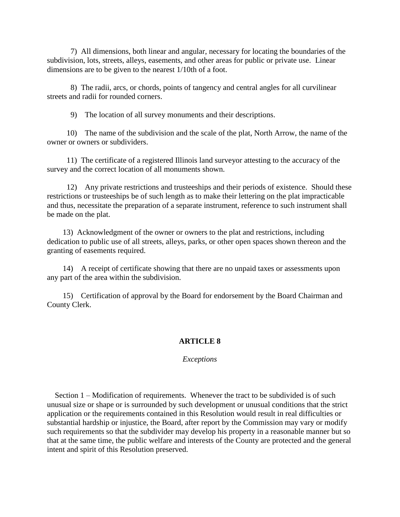7) All dimensions, both linear and angular, necessary for locating the boundaries of the subdivision, lots, streets, alleys, easements, and other areas for public or private use. Linear dimensions are to be given to the nearest 1/10th of a foot.

8) The radii, arcs, or chords, points of tangency and central angles for all curvilinear streets and radii for rounded corners.

9) The location of all survey monuments and their descriptions.

10) The name of the subdivision and the scale of the plat, North Arrow, the name of the owner or owners or subdividers.

11) The certificate of a registered Illinois land surveyor attesting to the accuracy of the survey and the correct location of all monuments shown.

12) Any private restrictions and trusteeships and their periods of existence. Should these restrictions or trusteeships be of such length as to make their lettering on the plat impracticable and thus, necessitate the preparation of a separate instrument, reference to such instrument shall be made on the plat.

13) Acknowledgment of the owner or owners to the plat and restrictions, including dedication to public use of all streets, alleys, parks, or other open spaces shown thereon and the granting of easements required.

14) A receipt of certificate showing that there are no unpaid taxes or assessments upon any part of the area within the subdivision.

15) Certification of approval by the Board for endorsement by the Board Chairman and County Clerk.

# **ARTICLE 8**

*Exceptions*

Section 1 – Modification of requirements. Whenever the tract to be subdivided is of such unusual size or shape or is surrounded by such development or unusual conditions that the strict application or the requirements contained in this Resolution would result in real difficulties or substantial hardship or injustice, the Board, after report by the Commission may vary or modify such requirements so that the subdivider may develop his property in a reasonable manner but so that at the same time, the public welfare and interests of the County are protected and the general intent and spirit of this Resolution preserved.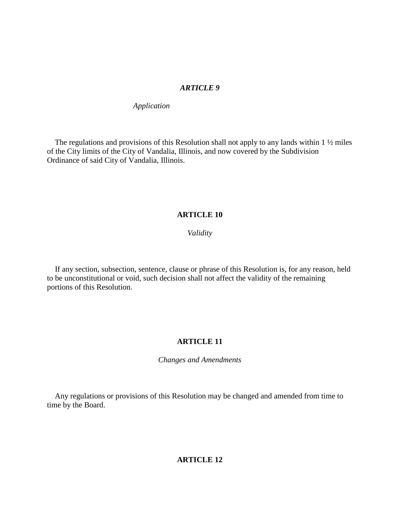## *ARTICLE 9*

*Application*

The regulations and provisions of this Resolution shall not apply to any lands within  $1\frac{1}{2}$  miles of the City limits of the City of Vandalia, Illinois, and now covered by the Subdivision Ordinance of said City of Vandalia, Illinois.

## **ARTICLE 10**

## *Validity*

If any section, subsection, sentence, clause or phrase of this Resolution is, for any reason, held to be unconstitutional or void, such decision shall not affect the validity of the remaining portions of this Resolution.

## **ARTICLE 11**

*Changes and Amendments*

Any regulations or provisions of this Resolution may be changed and amended from time to time by the Board.

# **ARTICLE 12**